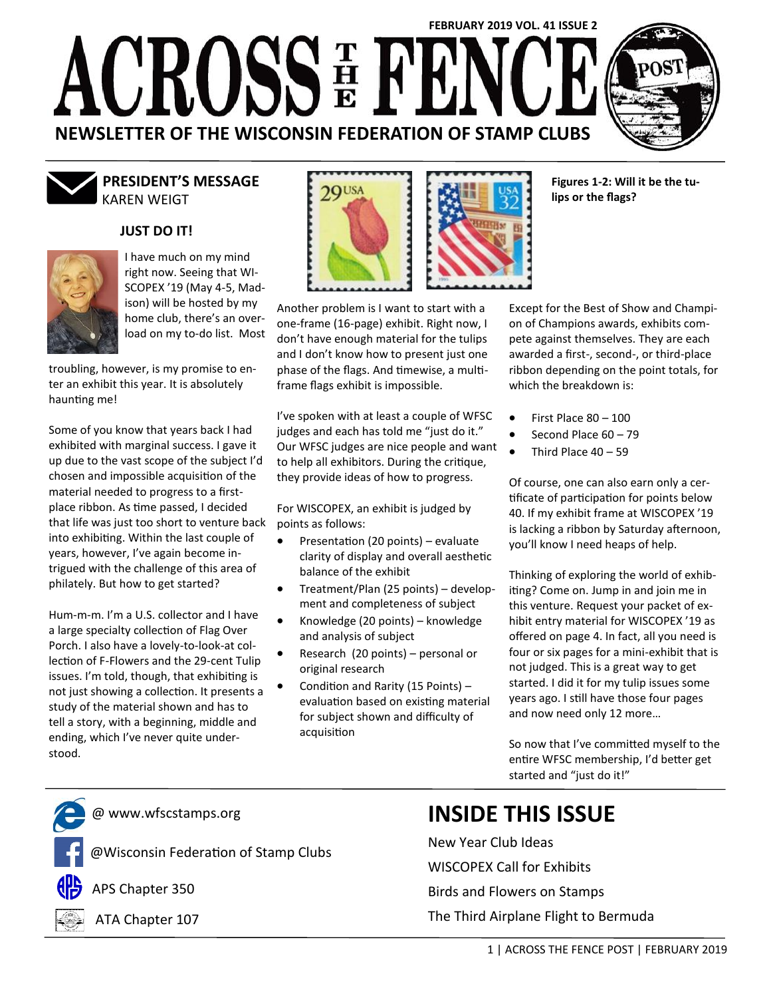# **FEBRUARY 2019 VOL. 41 ISSUE 2** CROSSE F  $\sqrt{2\pi}$ **NEWSLETTER OF THE WISCONSIN FEDERATION OF STAMP CLUBS**



# KAREN WEIGT **PRESIDENT'S MESSAGE**

## **JUST DO IT!**



I have much on my mind right now. Seeing that WI-SCOPEX '19 (May 4-5, Madison) will be hosted by my home club, there's an overload on my to-do list. Most

troubling, however, is my promise to enter an exhibit this year. It is absolutely haunting me!

Some of you know that years back I had exhibited with marginal success. I gave it up due to the vast scope of the subject I'd chosen and impossible acquisition of the material needed to progress to a firstplace ribbon. As time passed, I decided that life was just too short to venture back into exhibiting. Within the last couple of years, however, I've again become intrigued with the challenge of this area of philately. But how to get started?

Hum-m-m. I'm a U.S. collector and I have a large specialty collection of Flag Over Porch. I also have a lovely-to-look-at collection of F-Flowers and the 29-cent Tulip issues. I'm told, though, that exhibiting is not just showing a collection. It presents a study of the material shown and has to tell a story, with a beginning, middle and ending, which I've never quite understood.



Another problem is I want to start with a one-frame (16-page) exhibit. Right now, I don't have enough material for the tulips and I don't know how to present just one phase of the flags. And timewise, a multiframe flags exhibit is impossible.

I've spoken with at least a couple of WFSC judges and each has told me "just do it." Our WFSC judges are nice people and want to help all exhibitors. During the critique, they provide ideas of how to progress.

For WISCOPEX, an exhibit is judged by points as follows:

- Presentation (20 points) evaluate clarity of display and overall aesthetic balance of the exhibit
- Treatment/Plan (25 points) development and completeness of subject
- Knowledge (20 points) knowledge and analysis of subject
- Research (20 points) personal or original research
- Condition and Rarity (15 Points) evaluation based on existing material for subject shown and difficulty of acquisition

Except for the Best of Show and Champion of Champions awards, exhibits compete against themselves. They are each awarded a first-, second-, or third-place ribbon depending on the point totals, for which the breakdown is:

**Figures 1-2: Will it be the tu-**

**lips or the flags?**

- First Place 80 100
- Second Place 60 79
- Third Place 40 59

Of course, one can also earn only a certificate of participation for points below 40. If my exhibit frame at WISCOPEX '19 is lacking a ribbon by Saturday afternoon, you'll know I need heaps of help.

Thinking of exploring the world of exhibiting? Come on. Jump in and join me in this venture. Request your packet of exhibit entry material for WISCOPEX '19 as offered on page 4. In fact, all you need is four or six pages for a mini-exhibit that is not judged. This is a great way to get started. I did it for my tulip issues some years ago. I still have those four pages and now need only 12 more…

So now that I've committed myself to the entire WFSC membership, I'd better get started and "just do it!"

@ www.wfscstamps.org

@Wisconsin Federation of Stamp Clubs



APS Chapter 350



ATA Chapter 107

# **INSIDE THIS ISSUE**

New Year Club Ideas WISCOPEX Call for Exhibits Birds and Flowers on Stamps The Third Airplane Flight to Bermuda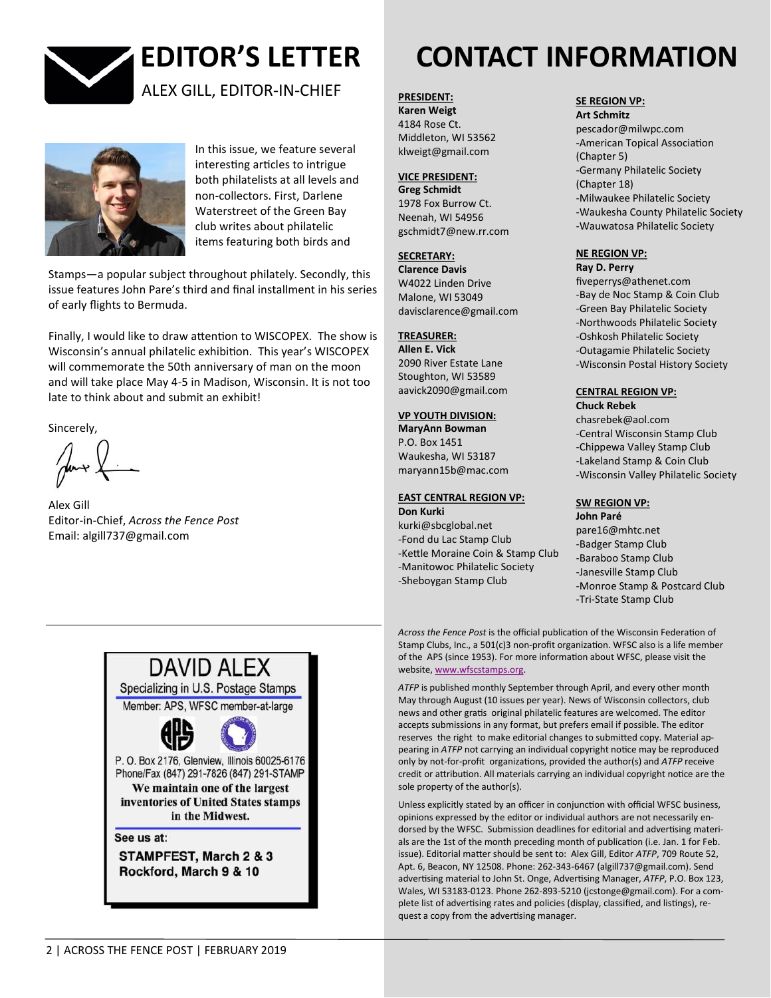



In this issue, we feature several interesting articles to intrigue both philatelists at all levels and non-collectors. First, Darlene Waterstreet of the Green Bay club writes about philatelic items featuring both birds and

Stamps—a popular subject throughout philately. Secondly, this issue features John Pare's third and final installment in his series of early flights to Bermuda.

Finally, I would like to draw attention to WISCOPEX. The show is Wisconsin's annual philatelic exhibition. This year's WISCOPEX will commemorate the 50th anniversary of man on the moon and will take place May 4-5 in Madison, Wisconsin. It is not too late to think about and submit an exhibit!

Sincerely,

Alex Gill Editor-in-Chief, *Across the Fence Post* Email: algill737@gmail.com



**STAMPFEST, March 2 & 3** Rockford, March 9 & 10

# **EDITOR'S LETTER CONTACT INFORMATION**

**PRESIDENT:**

**Karen Weigt**  4184 Rose Ct. Middleton, WI 53562 klweigt@gmail.com

#### **VICE PRESIDENT:**

**Greg Schmidt** 1978 Fox Burrow Ct. Neenah, WI 54956 gschmidt7@new.rr.com

#### **SECRETARY:**

**Clarence Davis** W4022 Linden Drive Malone, WI 53049 davisclarence@gmail.com

#### **TREASURER:**

**Allen E. Vick**  2090 River Estate Lane Stoughton, WI 53589 aavick2090@gmail.com

### **VP YOUTH DIVISION:**

**MaryAnn Bowman**  P.O. Box 1451 Waukesha, WI 53187 maryann15b@mac.com

## **EAST CENTRAL REGION VP:**

**Don Kurki**  kurki@sbcglobal.net -Fond du Lac Stamp Club -Kettle Moraine Coin & Stamp Club -Manitowoc Philatelic Society -Sheboygan Stamp Club

#### **SE REGION VP:**

**Art Schmitz**  pescador@milwpc.com -American Topical Association (Chapter 5) -Germany Philatelic Society (Chapter 18) -Milwaukee Philatelic Society -Waukesha County Philatelic Society -Wauwatosa Philatelic Society

#### **NE REGION VP: Ray D. Perry**

fiveperrys@athenet.com -Bay de Noc Stamp & Coin Club -Green Bay Philatelic Society -Northwoods Philatelic Society -Oshkosh Philatelic Society -Outagamie Philatelic Society -Wisconsin Postal History Society

#### **CENTRAL REGION VP: Chuck Rebek**

chasrebek@aol.com -Central Wisconsin Stamp Club -Chippewa Valley Stamp Club -Lakeland Stamp & Coin Club -Wisconsin Valley Philatelic Society

# **SW REGION VP:**

**John Paré**  pare16@mhtc.net -Badger Stamp Club -Baraboo Stamp Club -Janesville Stamp Club -Monroe Stamp & Postcard Club -Tri-State Stamp Club

*Across the Fence Post* is the official publication of the Wisconsin Federation of Stamp Clubs, Inc., a 501(c)3 non-profit organization. WFSC also is a life member of the APS (since 1953). For more information about WFSC, please visit the website, [www.wfscstamps.org.](http://www.wfscstamps.org)

*ATFP* is published monthly September through April, and every other month May through August (10 issues per year). News of Wisconsin collectors, club news and other gratis original philatelic features are welcomed. The editor accepts submissions in any format, but prefers email if possible. The editor reserves the right to make editorial changes to submitted copy. Material appearing in *ATFP* not carrying an individual copyright notice may be reproduced only by not-for-profit organizations, provided the author(s) and *ATFP* receive credit or attribution. All materials carrying an individual copyright notice are the sole property of the author(s).

Unless explicitly stated by an officer in conjunction with official WFSC business, opinions expressed by the editor or individual authors are not necessarily endorsed by the WFSC. Submission deadlines for editorial and advertising materials are the 1st of the month preceding month of publication (i.e. Jan. 1 for Feb. issue). Editorial matter should be sent to: Alex Gill, Editor *ATFP*, 709 Route 52, Apt. 6, Beacon, NY 12508. Phone: 262-343-6467 (algill737@gmail.com). Send advertising material to John St. Onge, Advertising Manager, *ATFP*, P.O. Box 123, Wales, WI 53183-0123. Phone 262-893-5210 (jcstonge@gmail.com). For a complete list of advertising rates and policies (display, classified, and listings), request a copy from the advertising manager.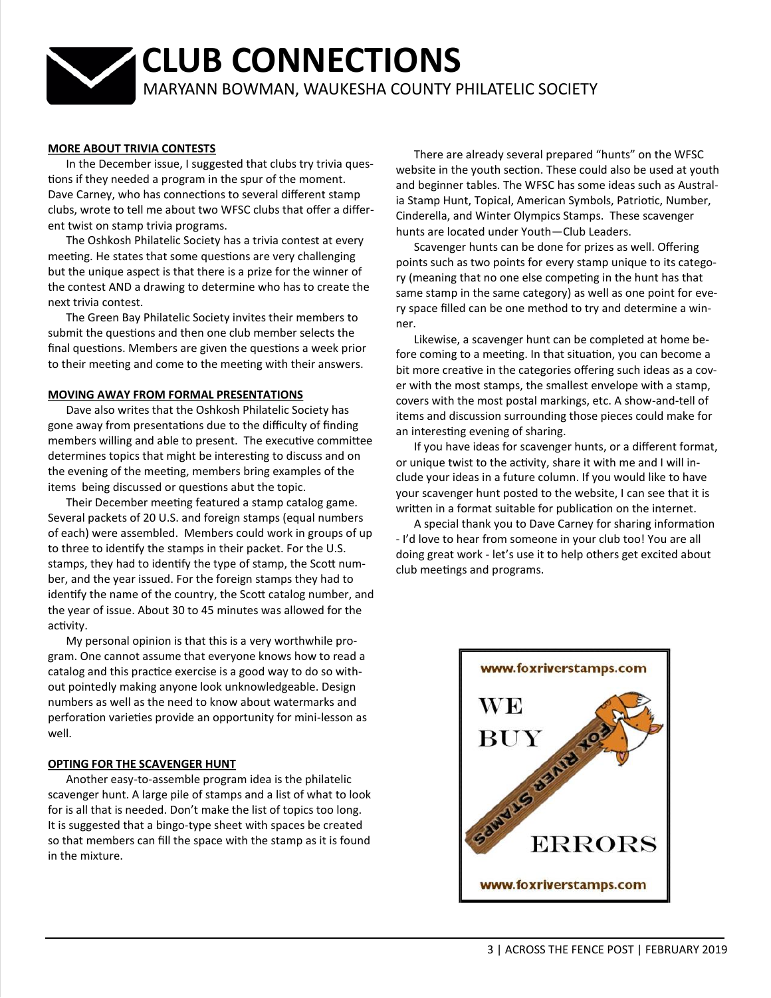# **CLUB CONNECTIONS** MARYANN BOWMAN, WAUKESHA COUNTY PHILATELIC SOCIETY

#### **MORE ABOUT TRIVIA CONTESTS**

In the December issue, I suggested that clubs try trivia questions if they needed a program in the spur of the moment. Dave Carney, who has connections to several different stamp clubs, wrote to tell me about two WFSC clubs that offer a different twist on stamp trivia programs.

The Oshkosh Philatelic Society has a trivia contest at every meeting. He states that some questions are very challenging but the unique aspect is that there is a prize for the winner of the contest AND a drawing to determine who has to create the next trivia contest.

The Green Bay Philatelic Society invites their members to submit the questions and then one club member selects the final questions. Members are given the questions a week prior to their meeting and come to the meeting with their answers.

#### **MOVING AWAY FROM FORMAL PRESENTATIONS**

Dave also writes that the Oshkosh Philatelic Society has gone away from presentations due to the difficulty of finding members willing and able to present. The executive committee determines topics that might be interesting to discuss and on the evening of the meeting, members bring examples of the items being discussed or questions abut the topic.

Their December meeting featured a stamp catalog game. Several packets of 20 U.S. and foreign stamps (equal numbers of each) were assembled. Members could work in groups of up to three to identify the stamps in their packet. For the U.S. stamps, they had to identify the type of stamp, the Scott number, and the year issued. For the foreign stamps they had to identify the name of the country, the Scott catalog number, and the year of issue. About 30 to 45 minutes was allowed for the activity.

My personal opinion is that this is a very worthwhile program. One cannot assume that everyone knows how to read a catalog and this practice exercise is a good way to do so without pointedly making anyone look unknowledgeable. Design numbers as well as the need to know about watermarks and perforation varieties provide an opportunity for mini-lesson as well.

#### **OPTING FOR THE SCAVENGER HUNT**

Another easy-to-assemble program idea is the philatelic scavenger hunt. A large pile of stamps and a list of what to look for is all that is needed. Don't make the list of topics too long. It is suggested that a bingo-type sheet with spaces be created so that members can fill the space with the stamp as it is found in the mixture.

There are already several prepared "hunts" on the WFSC website in the youth section. These could also be used at youth and beginner tables. The WFSC has some ideas such as Australia Stamp Hunt, Topical, American Symbols, Patriotic, Number, Cinderella, and Winter Olympics Stamps. These scavenger hunts are located under Youth—Club Leaders.

Scavenger hunts can be done for prizes as well. Offering points such as two points for every stamp unique to its category (meaning that no one else competing in the hunt has that same stamp in the same category) as well as one point for every space filled can be one method to try and determine a winner.

Likewise, a scavenger hunt can be completed at home before coming to a meeting. In that situation, you can become a bit more creative in the categories offering such ideas as a cover with the most stamps, the smallest envelope with a stamp, covers with the most postal markings, etc. A show-and-tell of items and discussion surrounding those pieces could make for an interesting evening of sharing.

If you have ideas for scavenger hunts, or a different format, or unique twist to the activity, share it with me and I will include your ideas in a future column. If you would like to have your scavenger hunt posted to the website, I can see that it is written in a format suitable for publication on the internet.

A special thank you to Dave Carney for sharing information - I'd love to hear from someone in your club too! You are all doing great work - let's use it to help others get excited about club meetings and programs.

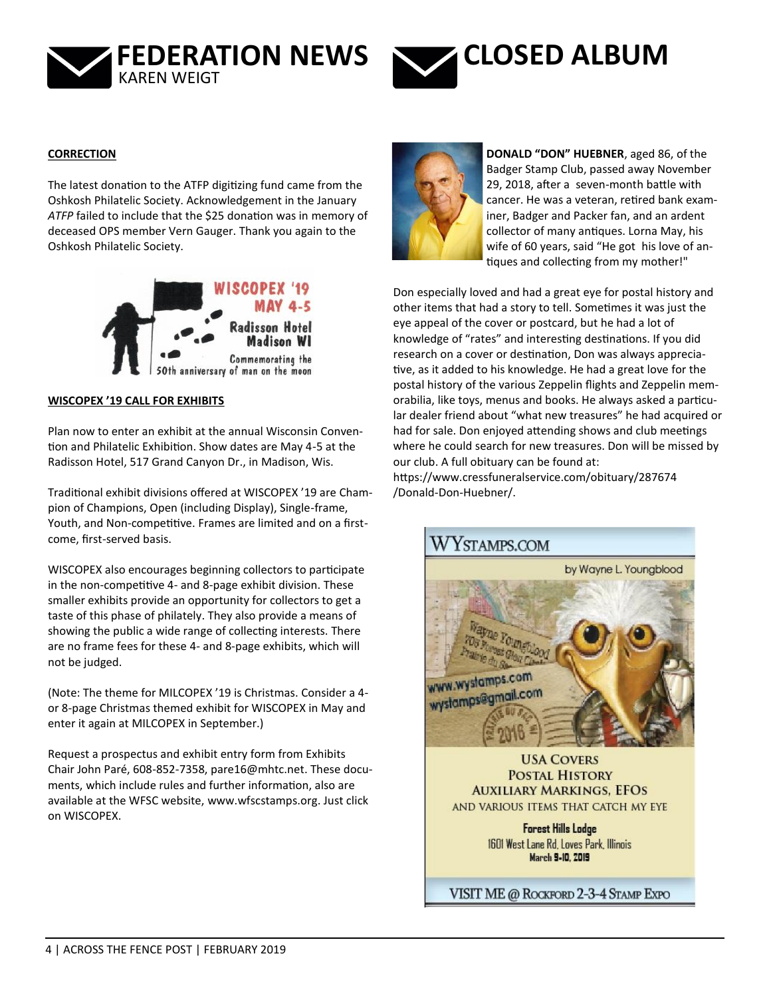



#### **CORRECTION**

The latest donation to the ATFP digitizing fund came from the Oshkosh Philatelic Society. Acknowledgement in the January *ATFP* failed to include that the \$25 donation was in memory of deceased OPS member Vern Gauger. Thank you again to the Oshkosh Philatelic Society.



#### **WISCOPEX '19 CALL FOR EXHIBITS**

Plan now to enter an exhibit at the annual Wisconsin Convention and Philatelic Exhibition. Show dates are May 4-5 at the Radisson Hotel, 517 Grand Canyon Dr., in Madison, Wis.

Traditional exhibit divisions offered at WISCOPEX '19 are Champion of Champions, Open (including Display), Single-frame, Youth, and Non-competitive. Frames are limited and on a firstcome, first-served basis.

WISCOPEX also encourages beginning collectors to participate in the non-competitive 4- and 8-page exhibit division. These smaller exhibits provide an opportunity for collectors to get a taste of this phase of philately. They also provide a means of showing the public a wide range of collecting interests. There are no frame fees for these 4- and 8-page exhibits, which will not be judged.

(Note: The theme for MILCOPEX '19 is Christmas. Consider a 4 or 8-page Christmas themed exhibit for WISCOPEX in May and enter it again at MILCOPEX in September.)

Request a prospectus and exhibit entry form from Exhibits Chair John Paré, 608-852-7358, [pare16@mhtc.net.](mailto:pare16@mhtc.net) These documents, which include rules and further information, also are available at the WFSC website, [www.wfscstamps.org.](http://www.wfscstamps.org) Just click on WISCOPEX.



**DONALD "DON" HUEBNER**, aged 86, of the Badger Stamp Club, passed away November 29, 2018, after a seven-month battle with cancer. He was a veteran, retired bank examiner, Badger and Packer fan, and an ardent collector of many antiques. Lorna May, his wife of 60 years, said "He got his love of antiques and collecting from my mother!"

Don especially loved and had a great eye for postal history and other items that had a story to tell. Sometimes it was just the eye appeal of the cover or postcard, but he had a lot of knowledge of "rates" and interesting destinations. If you did research on a cover or destination, Don was always appreciative, as it added to his knowledge. He had a great love for the postal history of the various Zeppelin flights and Zeppelin memorabilia, like toys, menus and books. He always asked a particular dealer friend about "what new treasures" he had acquired or had for sale. Don enjoyed attending shows and club meetings where he could search for new treasures. Don will be missed by our club. A full obituary can be found at: [https://www.cressfuneralservice.com/obituary/287674](https://www.cressfuneralservice.com/obituary/287674/Donald-Don-Huebner/)

/Donald-Don-[Huebner/.](https://www.cressfuneralservice.com/obituary/287674/Donald-Don-Huebner/)



**POSTAL HISTORY AUXILIARY MARKINGS, EFOS** AND VARIOUS ITEMS THAT CATCH MY EYE

> **Forest Hills Lodge** 1601 West Lane Rd. Loves Park, Illinois March 9-10, 2019

VISIT ME @ ROCKFORD 2-3-4 STAMP EXPO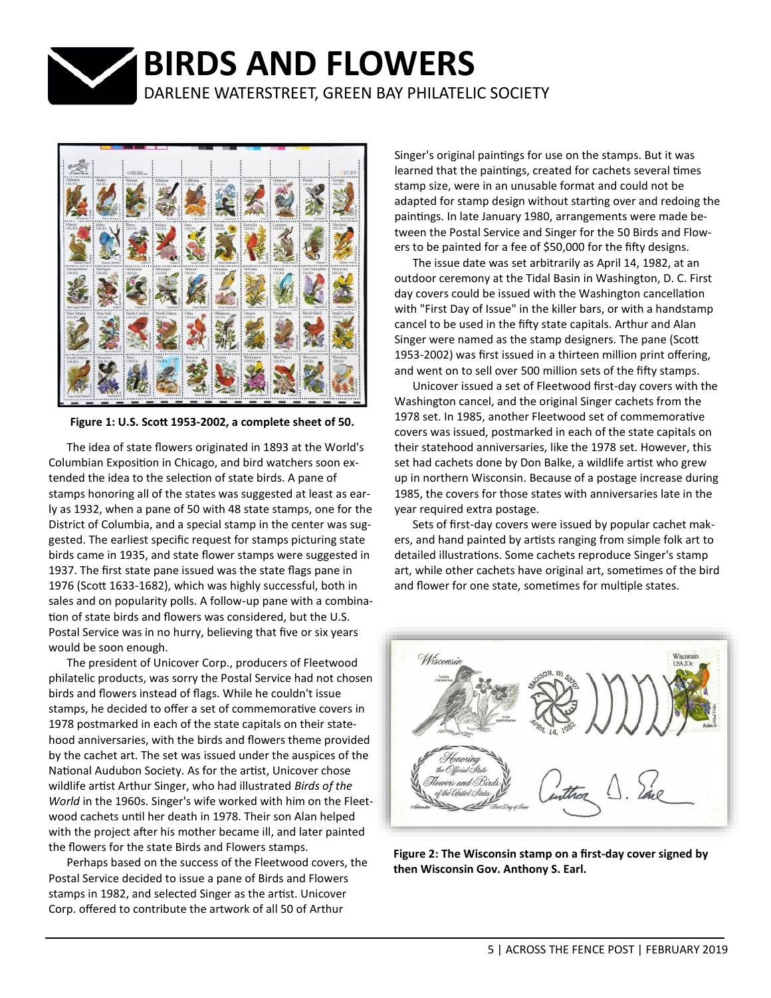

**BIRDS AND FLOWERS**

DARLENE WATERSTREET, GREEN BAY PHILATELIC SOCIETY



**Figure 1: U.S. Scott 1953-2002, a complete sheet of 50.**

The idea of state flowers originated in 1893 at the World's Columbian Exposition in Chicago, and bird watchers soon extended the idea to the selection of state birds. A pane of stamps honoring all of the states was suggested at least as early as 1932, when a pane of 50 with 48 state stamps, one for the District of Columbia, and a special stamp in the center was suggested. The earliest specific request for stamps picturing state birds came in 1935, and state flower stamps were suggested in 1937. The first state pane issued was the state flags pane in 1976 (Scott 1633-1682), which was highly successful, both in sales and on popularity polls. A follow-up pane with a combination of state birds and flowers was considered, but the U.S. Postal Service was in no hurry, believing that five or six years would be soon enough.

The president of Unicover Corp., producers of Fleetwood philatelic products, was sorry the Postal Service had not chosen birds and flowers instead of flags. While he couldn't issue stamps, he decided to offer a set of commemorative covers in 1978 postmarked in each of the state capitals on their statehood anniversaries, with the birds and flowers theme provided by the cachet art. The set was issued under the auspices of the National Audubon Society. As for the artist, Unicover chose wildlife artist Arthur Singer, who had illustrated *Birds of the World* in the 1960s. Singer's wife worked with him on the Fleetwood cachets until her death in 1978. Their son Alan helped with the project after his mother became ill, and later painted the flowers for the state Birds and Flowers stamps.

Perhaps based on the success of the Fleetwood covers, the Postal Service decided to issue a pane of Birds and Flowers stamps in 1982, and selected Singer as the artist. Unicover Corp. offered to contribute the artwork of all 50 of Arthur

Singer's original paintings for use on the stamps. But it was learned that the paintings, created for cachets several times stamp size, were in an unusable format and could not be adapted for stamp design without starting over and redoing the paintings. In late January 1980, arrangements were made between the Postal Service and Singer for the 50 Birds and Flowers to be painted for a fee of \$50,000 for the fifty designs.

The issue date was set arbitrarily as April 14, 1982, at an outdoor ceremony at the Tidal Basin in Washington, D. C. First day covers could be issued with the Washington cancellation with "First Day of Issue" in the killer bars, or with a handstamp cancel to be used in the fifty state capitals. Arthur and Alan Singer were named as the stamp designers. The pane (Scott 1953-2002) was first issued in a thirteen million print offering, and went on to sell over 500 million sets of the fifty stamps.

Unicover issued a set of Fleetwood first-day covers with the Washington cancel, and the original Singer cachets from the 1978 set. In 1985, another Fleetwood set of commemorative covers was issued, postmarked in each of the state capitals on their statehood anniversaries, like the 1978 set. However, this set had cachets done by Don Balke, a wildlife artist who grew up in northern Wisconsin. Because of a postage increase during 1985, the covers for those states with anniversaries late in the year required extra postage.

Sets of first-day covers were issued by popular cachet makers, and hand painted by artists ranging from simple folk art to detailed illustrations. Some cachets reproduce Singer's stamp art, while other cachets have original art, sometimes of the bird and flower for one state, sometimes for multiple states.



**Figure 2: The Wisconsin stamp on a first-day cover signed by then Wisconsin Gov. Anthony S. Earl.**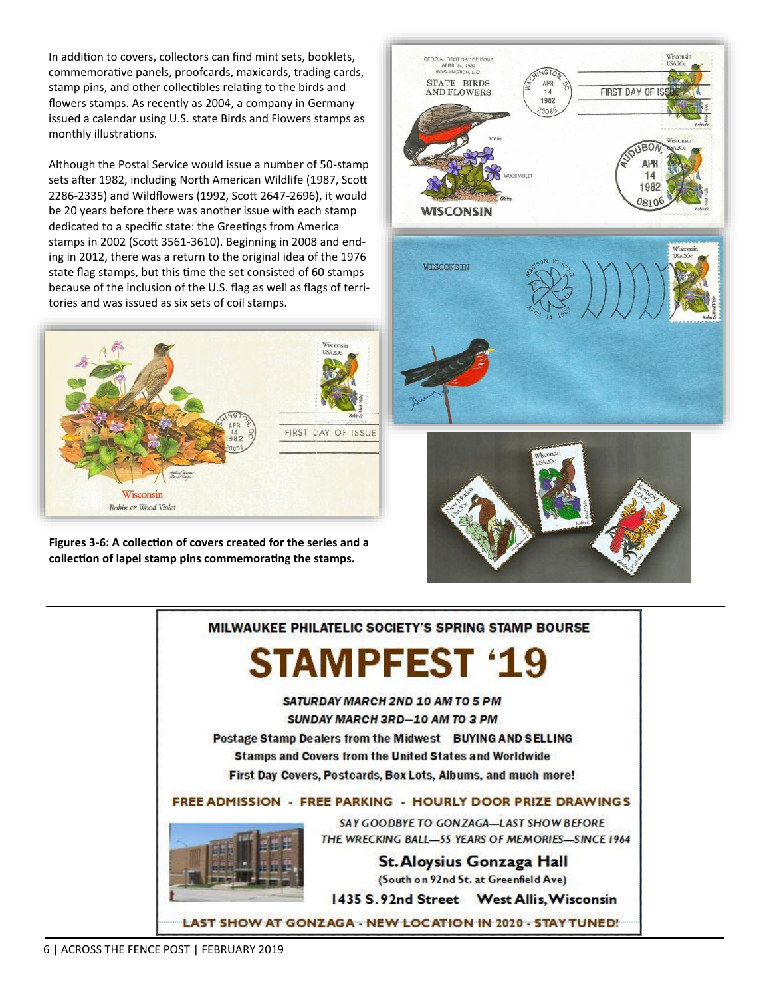In addition to covers, collectors can find mint sets, booklets, commemorative panels, proofcards, maxicards, trading cards, stamp pins, and other collectibles relating to the birds and flowers stamps. As recently as 2004, a company in Germany issued a calendar using U.S. state Birds and Flowers stamps as monthly illustrations.

Although the Postal Service would issue a number of 50-stamp sets after 1982, including North American Wildlife (1987, Scott 2286-2335) and Wildflowers (1992, Scott 2647-2696), it would be 20 years before there was another issue with each stamp dedicated to a specific state: the Greetings from America stamps in 2002 (Scott 3561-3610). Beginning in 2008 and ending in 2012, there was a return to the original idea of the 1976 state flag stamps, but this time the set consisted of 60 stamps because of the inclusion of the U.S. flag as well as flags of territories and was issued as six sets of coil stamps.



**Figures 3-6: A collection of covers created for the series and a collection of lapel stamp pins commemorating the stamps.**



MILWAUKEE PHILATELIC SOCIETY'S SPRING STAMP BOURSE

# **STAMPFEST '19**

SATURDAY MARCH 2ND 10 AM TO 5 PM SUNDAY MARCH 3RD-10 AM TO 3 PM Postage Stamp Dealers from the Midwest BUYING AND SELLING Stamps and Covers from the United States and Worldwide First Day Covers, Postcards, Box Lots, Albums, and much more!

## FREE ADMISSION - FREE PARKING - HOURLY DOOR PRIZE DRAWINGS



SAY GOODBYE TO GONZAGA-LAST SHOW BEFORE THE WRECKING BALL-55 YEARS OF MEMORIES-SINCE 1964

> St. Aloysius Gonzaga Hall (South on 92nd St. at Greenfield Ave)

1435 S. 92nd Street West Allis, Wisconsin

LAST SHOW AT GONZAGA - NEW LOCATION IN 2020 - STAY TUNED!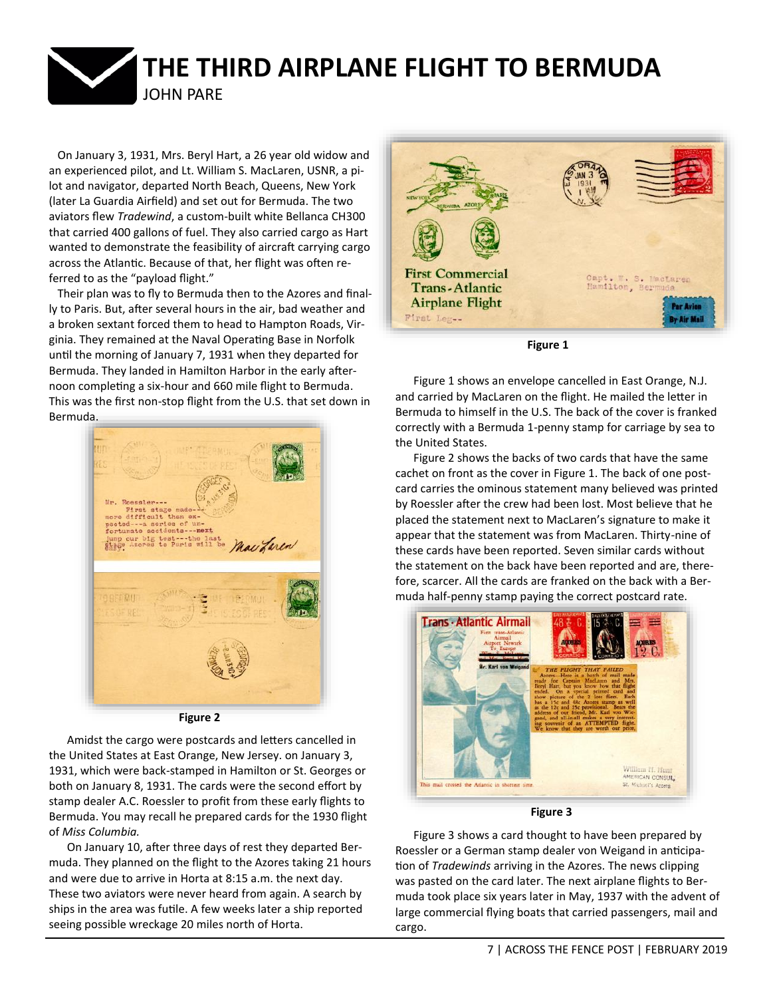

 On January 3, 1931, Mrs. Beryl Hart, a 26 year old widow and an experienced pilot, and Lt. William S. MacLaren, USNR, a pilot and navigator, departed North Beach, Queens, New York (later La Guardia Airfield) and set out for Bermuda. The two aviators flew *Tradewind*, a custom-built white Bellanca CH300 that carried 400 gallons of fuel. They also carried cargo as Hart wanted to demonstrate the feasibility of aircraft carrying cargo across the Atlantic. Because of that, her flight was often referred to as the "payload flight."

 Their plan was to fly to Bermuda then to the Azores and finally to Paris. But, after several hours in the air, bad weather and a broken sextant forced them to head to Hampton Roads, Virginia. They remained at the Naval Operating Base in Norfolk until the morning of January 7, 1931 when they departed for Bermuda. They landed in Hamilton Harbor in the early afternoon completing a six-hour and 660 mile flight to Bermuda. This was the first non-stop flight from the U.S. that set down in Bermuda.



**Figure 2**

Amidst the cargo were postcards and letters cancelled in the United States at East Orange, New Jersey. on January 3, 1931, which were back-stamped in Hamilton or St. Georges or both on January 8, 1931. The cards were the second effort by stamp dealer A.C. Roessler to profit from these early flights to Bermuda. You may recall he prepared cards for the 1930 flight of *Miss Columbia.*

On January 10, after three days of rest they departed Bermuda. They planned on the flight to the Azores taking 21 hours and were due to arrive in Horta at 8:15 a.m. the next day. These two aviators were never heard from again. A search by ships in the area was futile. A few weeks later a ship reported seeing possible wreckage 20 miles north of Horta.



**Figure 1**

Figure 1 shows an envelope cancelled in East Orange, N.J. and carried by MacLaren on the flight. He mailed the letter in Bermuda to himself in the U.S. The back of the cover is franked correctly with a Bermuda 1-penny stamp for carriage by sea to the United States.

Figure 2 shows the backs of two cards that have the same cachet on front as the cover in Figure 1. The back of one postcard carries the ominous statement many believed was printed by Roessler after the crew had been lost. Most believe that he placed the statement next to MacLaren's signature to make it appear that the statement was from MacLaren. Thirty-nine of these cards have been reported. Seven similar cards without the statement on the back have been reported and are, therefore, scarcer. All the cards are franked on the back with a Bermuda half-penny stamp paying the correct postcard rate.



**Figure 3**

Figure 3 shows a card thought to have been prepared by Roessler or a German stamp dealer von Weigand in anticipation of *Tradewinds* arriving in the Azores. The news clipping was pasted on the card later. The next airplane flights to Bermuda took place six years later in May, 1937 with the advent of large commercial flying boats that carried passengers, mail and cargo.